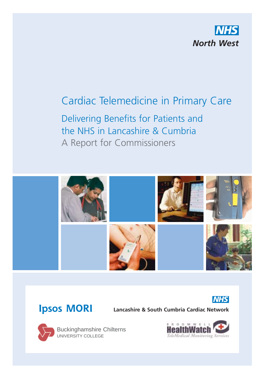

# Cardiac Telemedicine in Primary Care

Delivering Benefits for Patients and the NHS in Lancashire & Cumbria A Report for Commissioners





## **Ipsos MORI**

**Lancashire & South Cumbria Cardiac Network**



Buckinghamshire Chilterns UNIVERSITY COLLEGE

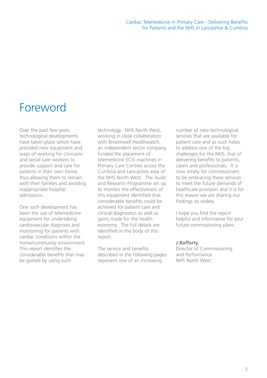# Foreword

Over the past few years technological developments have taken place which have provided new equipment and ways of working for clinicians and social care workers to provide support and care for patients in their own home, thus allowing them to remain with their families and avoiding inappropriate hospital admissions.

One such development has been the use of telemedicine equipment for undertaking cardiovascular diagnosis and monitoring for patients with cardiac conditions within the home/community environment. This report identifies the considerable benefits that may be gained by using such

technology. NHS North West, working in close collaboration with Broomwell Healthwatch. an independent sector company, funded the placement of telemedicine ECG machines in Primary Care Centres across the Cumbria and Lancashire area of the NHS North West. The Audit and Research Programme set up to monitor the effectiveness of this equipment identified that considerable benefits could be achieved for patient care and clinical diagnostics as well as gains made for the health economy. The full details are identified in the body of this report.

The service and benefits described in the following pages represent one of an increasing

number of new technological services that are available for patient care and as such helps to address one of the big challenges for the NHS, that of delivering benefits to patients, carers and professionals. It is now timely for commissioners to be embracing these services to meet the future demands of healthcare provision and it is for this reason we are sharing our findings so widely.

I hope you find the report helpful and informative for your future commissioning plans.

#### **J Rafferty**

Director of Commissioning and Performance NHS North West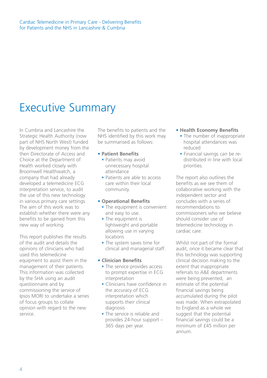# Executive Summary

In Cumbria and Lancashire the Strategic Health Authority (now part of NHS North West) funded by development money from the then Directorate of Access and Choice at the Department of Health worked closely with Broomwell Healthwatch, a company that had already developed a telemedicine ECG interpretation service, to audit the use of this new technology in various primary care settings. The aim of this work was to establish whether there were any benefits to be gained from this new way of working.

This report publishes the results of the audit and details the opinions of clinicians who had used this telemedicine equipment to assist them in the management of their patients. This information was collected by the SHA using an audit questionnaire and by commissioning the service of Ipsos MORI to undertake a series of focus groups to collate opinion with regard to the new service.

The benefits to patients and the NHS identified by this work may be summarised as follows:

#### **• Patient Benefits**

- **•** Patients may avoid unnecessary hospital attendance
- **•** Patients are able to access care within their local community.

#### **• Operational Benefits**

- **•** The equipment is convenient and easy to use.
- **•** The equipment is lightweight and portable allowing use in varying locations
- **•** The system saves time for clinical and managerial staff.

#### **• Clinician Benefits**

- The service provides access to prompt expertise in ECG interpretation
- **•** Clinicians have confidence in the accuracy of ECG interpretation which supports their clinical diagnosis
- **•** The service is reliable and provides 24-hour support – 365 days per year.

#### **• Health Economy Benefits**

- **•** The number of inappropriate hospital attendances was reduced
- **•** Financial savings can be redistributed in line with local priorities.

The report also outlines the benefits as we see them of collaborative working with the independent sector and concludes with a series of recommendations to commissioners who we believe should consider use of telemedicine technology in cardiac care.

Whilst not part of the formal audit, once it became clear that this technology was supporting clinical decision making to the extent that inappropriate referrals to A&E departments were being prevented, an estimate of the potential financial savings being accumulated during the pilot was made. When extrapolated to England as a whole we suggest that the potential financial savings could be a minimum of £45 million per annum.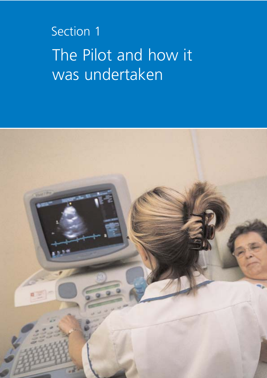# Section 1 The Pilot and how it was undertaken

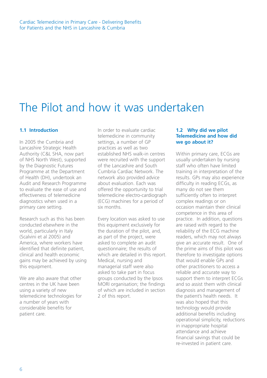# The Pilot and how it was undertaken

#### **1.1 Introduction**

In 2005 the Cumbria and Lancashire Strategic Health Authority (C&L SHA, now part of NHS North West), supported by the Diagnostic Futures Programme at the Department of Health (DH), undertook an Audit and Research Programme to evaluate the ease of use and effectiveness of telemedicine diagnostics when used in a primary care setting.

Research such as this has been conducted elsewhere in the world, particularly in Italy (Scalvini et al 2005) and America, where workers have identified that definite patient, clinical and health economic gains may be achieved by using this equipment.

We are also aware that other centres in the UK have been using a variety of new telemedicine technologies for a number of years with considerable benefits for patient care.

In order to evaluate cardiac telemedicine in community settings, a number of GP practices as well as two established NHS walk-in centres were recruited with the support of the Lancashire and South Cumbria Cardiac Network. The network also provided advice about evaluation. Each was offered the opportunity to trial telemedicine electro-cardiograph (ECG) machines for a period of six months.

Every location was asked to use this equipment exclusively for the duration of the pilot, and, as part of the project, were asked to complete an audit questionnaire; the results of which are detailed in this report. Medical, nursing and managerial staff were also asked to take part in focus groups conducted by the Ipsos MORI organisation; the findings of which are included in section 2 of this report.

#### **1.2 Why did we pilot Telemedicine and how did we go about it?**

Within primary care, ECGs are usually undertaken by nursing staff who often have limited training in interpretation of the results. GPs may also experience difficulty in reading ECGs, as many do not see them sufficiently often to interpret complex readings or on occasion maintain their clinical competence in this area of practice. In addition, questions are raised with regard to the reliability of the ECG machine readers, which may not always give an accurate result. One of the prime aims of this pilot was therefore to investigate options that would enable GPs and other practitioners to access a reliable and accurate way to support them to interpret ECGs and so assist them with clinical diagnosis and management of the patient's health needs. It was also hoped that this technology would provide additional benefits including operational simplicity, reductions in inappropriate hospital attendance and achieve financial savings that could be re-invested in patient care.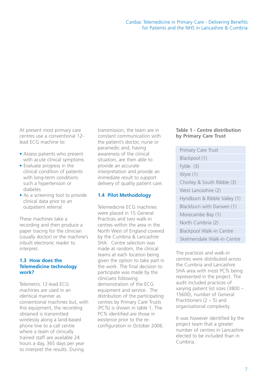At present most primary care centres use a conventional 12 lead ECG machine to:

- Assess patients who present with acute clinical symptoms
- Evaluate progress in the clinical condition of patients with long-term conditions such a hypertension or diabetes
- As a screening tool to provide clinical data prior to an outpatient referral.

These machines take a recording and then produce a paper tracing for the clinician (usually doctor) or the machine's inbuilt electronic reader to interpret.

#### **1.3 How does the Telemedicine technology work?**

Telemetric 12-lead ECG machines are used in an identical manner as conventional machines but, with this equipment, the recording obtained is transmitted wirelessly along a land-based phone line to a call centre where a team of clinically trained staff are available 24 hours a day, 365 days per year to interpret the results. During

transmission, the team are in constant communication with the patient's doctor, nurse or paramedic and, having awareness of the clinical situation, are then able to provide an accurate interpretation and provide an immediate result to support delivery of quality patient care.

#### **1.4 Pilot Methodology**

Telemedicine ECG machines were placed in 15 General Practices and two walk-in centres within the area in the North West of England covered by the Cumbria & Lancashire SHA Centre selection was made at random, the clinical teams at each location being given the option to take part in the work. The final decision to participate was made by the clinicians following demonstration of the ECG equipment and service. The distribution of the participating centres by Primary Care Trusts (PCTs) is shown in table 1. The PCTs identified are those in existence prior to the reconfiguration in October 2006.

#### **Table 1 - Centre distribution by Primary Care Trust**

Primary Care Trust Blackpool (1) Fylde (3) Wyre (1) Chorley & South Ribble (3) West Lancashire (2) Hyndburn & Ribble Valley (1) Blackburn with Darwen (1) Morecambe Bay (1) North Cumbria (2) Blackpool Walk-in Centre Skelmersdale Walk-in Centre

The practices and walk-in centres were distributed across the Cumbria and Lancashire SHA area with most PCTs being represented in the project. The audit included practices of varying patient list sizes (3800 – 15600), number of General Practitioners (2 – 5) and organisational complexity.

It was however identified by the project team that a greater number of centres in Lancashire elected to be included than in Cumbria.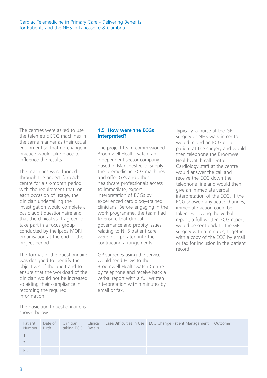The centres were asked to use the telemetric ECG machines in the same manner as their usual equipment so that no change in practice would take place to influence the results.

The machines were funded through the project for each centre for a six-month period with the requirement that, on each occasion of usage, the clinician undertaking the investigation would complete a basic audit questionnaire and that the clinical staff agreed to take part in a focus group conducted by the Ipsos MORI organisation at the end of the project period.

The format of the questionnaire was designed to identify the objectives of the audit and to ensure that the workload of the clinician would not be increased, so aiding their compliance in recording the required information.

The basic audit questionnaire is shown below:

#### **1.5 How were the ECGs interpreted?**

The project team commissioned Broomwell Healthwatch, an independent sector company based in Manchester, to supply the telemedicine ECG machines and offer GPs and other healthcare professionals access to immediate, expert interpretation of ECGs by experienced cardiology-trained clinicians. Before engaging in the work programme, the team had to ensure that clinical governance and probity issues relating to NHS patient care were incorporated into the contracting arrangements.

GP surgeries using the service would send ECGs to the Broomwell Healthwatch Centre by telephone and receive back a verbal report with a full written interpretation within minutes by email or fax.

Typically, a nurse at the GP surgery or NHS walk-in centre would record an ECG on a patient at the surgery and would then telephone the Broomwell Healthwatch call centre. Cardiology staff at the centre would answer the call and receive the ECG down the telephone line and would then give an immediate verbal interpretation of the ECG. If the ECG showed any acute changes, immediate action could be taken. Following the verbal report, a full written ECG report would be sent back to the GP surgery within minutes, together with a copy of the ECG by email or fax for inclusion in the patient record.

| Patient<br>Number | Birth taking ECG Details |  | Date of Clinician Clinical Ease/Difficulties in Use ECG Change Patient Management Outcome |  |
|-------------------|--------------------------|--|-------------------------------------------------------------------------------------------|--|
|                   |                          |  |                                                                                           |  |
|                   |                          |  |                                                                                           |  |
| $F$ † $\subset$   |                          |  |                                                                                           |  |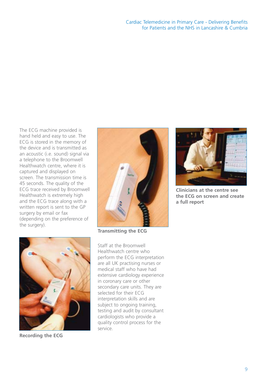The ECG machine provided is hand held and easy to use. The ECG is stored in the memory of the device and is transmitted as an acoustic (i.e. sound) signal via a telephone to the Broomwell Healthwatch centre, where it is captured and displayed on screen. The transmission time is 45 seconds. The quality of the ECG trace received by Broomwell Healthwatch is extremely high and the ECG trace along with a written report is sent to the GP surgery by email or fax (depending on the preference of the surgery).







**Recording the ECG**

Staff at the Broomwell Healthwatch centre who perform the ECG interpretation are all UK practising nurses or medical staff who have had extensive cardiology experience in coronary care or other secondary care units. They are selected for their ECG interpretation skills and are subject to ongoing training, testing and audit by consultant cardiologists who provide a quality control process for the service.



**Clinicians at the centre see the ECG on screen and create a full report**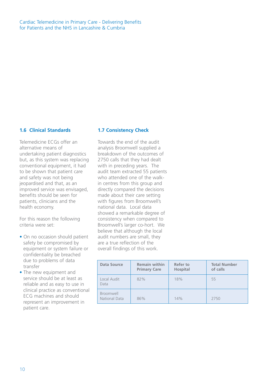Cardiac Telemedicine in Primary Care - Delivering Benefits for Patients and the NHS in Lancashire & Cumbria

#### **1.6 Clinical Standards**

Telemedicine ECGs offer an alternative means of undertaking patient diagnostics but, as this system was replacing conventional equipment, it had to be shown that patient care and safety was not being jeopardised and that, as an improved service was envisaged, benefits should be seen for patients, clinicians and the health economy.

For this reason the following criteria were set:

- On no occasion should patient safety be compromised by equipment or system failure or confidentiality be breached due to problems of data transfer
- The new equipment and service should be at least as reliable and as easy to use in clinical practice as conventional ECG machines and should represent an improvement in patient care.

#### **1.7 Consistency Check**

Towards the end of the audit analysis Broomwell supplied a breakdown of the outcomes of 2750 calls that they had dealt with in preceding years. The audit team extracted 55 patients who attended one of the walkin centres from this group and directly compared the decisions made about their care setting with figures from Broomwell's national data. Local data showed a remarkable degree of consistency when compared to Broomwell's larger co-hort. We believe that although the local audit numbers are small, they are a true reflection of the overall findings of this work.

| Data Source                | <b>Remain within</b><br><b>Primary Care</b> | Refer to<br><b>Hospital</b> | <b>Total Number</b><br>of calls |
|----------------------------|---------------------------------------------|-----------------------------|---------------------------------|
| Local Audit<br>Data        | 82%                                         | 18%                         | 55                              |
| Broomwell<br>National Data | 86%                                         | 14%                         | 2750                            |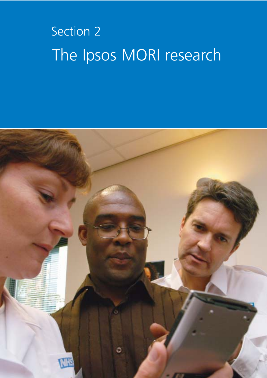# Section 2 The Ipsos MORI research

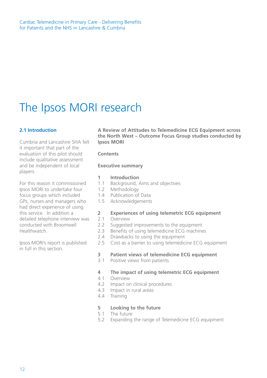# The Ipsos MORI research

#### **2.1 Introduction**

Cumbria and Lancashire SHA felt it important that part of the evaluation of this pilot should include qualitative assessment and be independent of local players.

For this reason it commissioned Ipsos MORI to undertake four focus groups which included GPs, nurses and managers who had direct experience of using this service. In addition a detailed telephone interview was conducted with Broomwell Healthwatch.

Ipsos MORI's report is published in full in this section.

**A Review of Attitudes to Telemedicine ECG Equipment across the North West – Outcome Focus Group studies conducted by Ipsos MORI**

#### **Contents**

#### **Executive summary**

#### **1 Introduction**

- 1.1 Background, Aims and objectives
- 1.2 Methodology
- 1.4 Publication of Data
- 1.5 Acknowledgements

#### **2 Experiences of using telemetric ECG equipment**

- 2.1 Overview
- 2.2 Suggested improvements to the equipment
- 2.3 Benefits of using telemedicine ECG machines
- 2.4 Drawbacks to using the equipment
- 2.5 Cost as a barrier to using telemedicine ECG equipment

#### **3 Patient views of telemedicine ECG equipment**

3.1 Positive views from patients

#### **4 The impact of using telemetric ECG equipment**

- 4.1 Overview
- 4.2 Impact on clinical procedures
- 4.3 Impact in rural areas
- 4.4 Training

#### **5 Looking to the future**

- 5.1 The future
- 5.2 Expanding the range of Telemedicine ECG equipment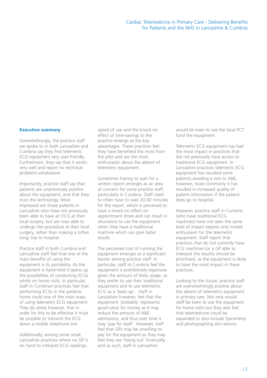#### **Executive summary**

Overwhelmingly, the practice staff we spoke to in both Lancashire and Cumbria say they find telemetric ECG equipment very user-friendly. Furthermore, they say that it works very well and report no technical problems whatsoever.

Importantly, practice staff say that patients are unanimously positive about the equipment, and that they trust the technology. Most impressed are those patients in Lancashire who have not previously been able to have an ECG at their local surgery, but are now able to undergo the procedure at their local surgery, rather than making a (often long) trip to hospital.

Practice staff in both Cumbria and Lancashire staff feel that one of the main benefits of using the equipment is its portability. As the equipment is hand-held it opens up the possibilities of conducting ECGs whilst on home visits. In particular, staff in Cumbrian practices feel that performing ECGs in the patients home could one of the main ways of using telemetric ECG equipment. They do stress however, that in order for this to be effective it must be possible to transmit the ECG down a mobile telephone line.

Additionally, among some small, Lancashire practices where no GP is on hand to interpret ECG readings,

speed of use and the knock-on effect of time-savings to the practice emerge as the key advantages. These practices feel they have benefited the most from the pilot and are the most enthusiastic about the advent of telemetric equipment.

Sometimes having to wait for a written report emerges as an area of concern for some practice staff, particularly in Cumbria. Staff claim to often have to wait 20-30 minutes for the report, which is perceived to have a knock-on effect on appointment times and can result in reluctance to use the equipment when they have a traditional machine which can give faster results.

The perceived cost of running the equipment emerges as a significant barrier among practice staff. In particular, staff in Cumbria feel the equipment is prohibitively expensive given the amount of likely usage, as they prefer to use their traditional equipment and to use telemetric ECG as a 'back-up'. Staff in Lancashire however, feel that the equipment 'probably' represents good value for money as it may reduce the amount of A&E admissions, and thus over time it may 'pay for itself'. However, staff feel that GPs may be unwilling to pay for the equipment as they may feel they are 'losing out' financially, and as such, staff in Lancashire

would be keen to see the local PCT fund the equipment.

Telemetric ECG equipment has had the most impact in practices that did not previously have access to traditional ECG equipment. In Lancashire practices telemetric ECG equipment has resulted some patients avoiding a visit to A&E, however, more commonly it has resulted in increased quality of patient information if the patient does go to hospital.

However, practice staff in Cumbria (who have traditional ECG machines) have not seen the same level of impact express only muted enthusiasm for the telemetric equipment. Staff report that practices that do not currently have ECG machines (or a GP able to interpret the results) should be prioritised, as the equipment is likely to have the most impact in these practices.

Looking to the future, practice staff are overwhelmingly positive about the advent of telemetric equipment in primary care. Not only would staff be keen to use the equipment for home visits but they also feel that telemedicine could be expanded to also include Spirometry and photographing skin lesions.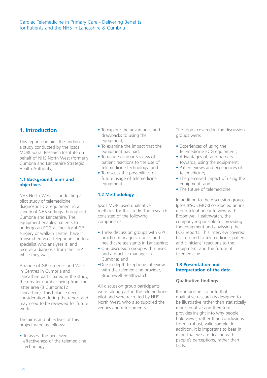#### **1. Introduction**

This report contains the findings of a study conducted by the Ipsos MORI Social Research Institute on behalf of NHS North West (formerly Cumbria and Lancashire Strategic Health Authority).

#### **1.1 Background, aims and objectives**

NHS North West is conducting a pilot study of telemedicine diagnostic ECG equipment in a variety of NHS settings throughout Cumbria and Lancashire. The equipment enables patients to undergo an ECG at their local GP surgery or walk-in centre, have it transmitted via a telephone line to a specialist who analyses it, and receive a diagnosis from their GP while they wait.

A range of GP surgeries and Walkin Centres in Cumbria and Lancashire participated in the study, the greater number being from the latter area (3 Cumbria:12 Lancashire). This balance needs consideration during the report and may need to be reviewed for future work.

The aims and objectives of this project were as follows:

• To assess the perceived effectiveness of the telemedicine technology;

- To explore the advantages and drawbacks to using the equipment;
- To examine the impact that the equipment has had;
- To gauge clinician's views of patient reactions to the use of telemedicine technology; and
- To discuss the possibilities of future usage of telemedicine equipment.

#### **1.2 Methodology**

Ipsos MORI used qualitative methods for this study. The research consisted of the following components:

- Three discussion groups with GPs, practice managers, nurses and healthcare assistants in Lancashire;
- One discussion group with nurses and a practice manager in Cumbria; and
- •One in-depth telephone interview with the telemedicine provider, Broomwell Healthwatch.

All discussion group participants were taking part in the telemedicine pilot and were recruited by NHS North West, who also supplied the venues and refreshments.

The topics covered in the discussion groups were:

- Experiences of using the telemedicine ECG equipment;
- Advantages of, and barriers towards, using the equipment;
- Patient views and experiences of telemedicine;
- The perceived impact of using the equipment; and
- The future of telemedicine.

In addition to the discussion groups, Ipsos IPSOS MORI conducted an indepth telephone interview with Broomwell Healthwatch, the company responsible for providing the equipment and analysing the ECG reports. This interview covered; background to telemedicine, patient and clinicians' reactions to the equipment, and the future of telemedicine.

#### **1.3 Presentation and interpretation of the data**

#### **Qualitative findings**

It is important to note that qualitative research is designed to be illustrative rather than statistically representative and therefore provides insight into why people hold views, rather than conclusions from a robust, valid sample. In addition, it is important to bear in mind that we are dealing with people's perceptions, rather than facts.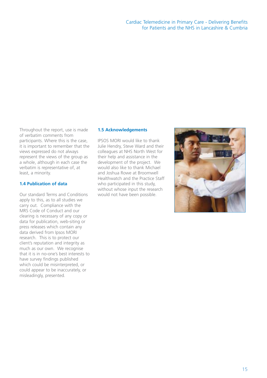#### Cardiac Telemedicine in Primary Care - Delivering Benefits for Patients and the NHS in Lancashire & Cumbria

Throughout the report, use is made of verbatim comments from participants. Where this is the case, it is important to remember that the views expressed do not always represent the views of the group as a whole, although in each case the verbatim is representative of, at least, a minority.

#### **1.4 Publication of data**

Our standard Terms and Conditions apply to this, as to all studies we carry out. Compliance with the MRS Code of Conduct and our clearing is necessary of any copy or data for publication, web-siting or press releases which contain any data derived from Ipsos MORI research. This is to protect our client's reputation and integrity as much as our own. We recognise that it is in no-one's best interests to have survey findings published which could be misinterpreted, or could appear to be inaccurately, or misleadingly, presented.

#### **1.5 Acknowledgements**

IPSOS MORI would like to thank Julie Hendry, Steve Ward and their colleagues at NHS North West for their help and assistance in the development of the project. We would also like to thank Michael and Joshua Rowe at Broomwell Healthwatch and the Practice Staff who participated in this study, without whose input the research would not have been possible.

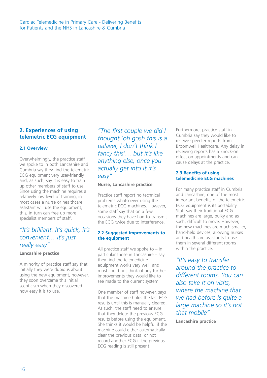#### **2. Experiences of using telemetric ECG equipment**

#### **2.1 Overview**

Overwhelmingly, the practice staff we spoke to in both Lancashire and Cumbria say they find the telemetric ECG equipment very user-friendly and, as such, say it is easy to train up other members of staff to use. Since using the machine requires a relatively low level of training, in most cases a nurse or healthcare assistant will use the equipment, this, in turn can free up more specialist members of staff.

### *"It's brilliant. It's quick, it's convenient… it's just really easy"*

#### **Lancashire practice**

A minority of practice staff say that initially they were dubious about using the new equipment, however, they soon overcame this initial scepticism when they discovered how easy it is to use.

*"The first couple we did I thought 'oh gosh this is a palaver, I don't think I fancy this'… but it's like anything else, once you actually get into it it's easy"*

#### **Nurse, Lancashire practice**

Practice staff report no technical problems whatsoever using the telemetric ECG machines. However, some staff say that on a few occasions they have had to transmit the ECG twice due to interference.

#### **2.2 Suggested improvements to the equipment**

All practice staff we spoke to  $-$  in particular those in Lancashire – say they find the telemedicine equipment works very well, and most could not think of any further improvements they would like to see made to the current system.

One member of staff however, says that the machine holds the last ECG results until this is manually cleared. As such, the staff need to ensure that they delete the previous ECG results before using the equipment. She thinks it would be helpful if the machine could either automatically clear the previous data, or not record another ECG if the previous ECG reading is still present.

Furthermore, practice staff in Cumbria say they would like to receive speedier reports from Broomwell Healthcare. Any delay in receiving reports has a knock-on effect on appointments and can cause delays at the practice.

#### **2.3 Benefits of using telemedicine ECG machines**

For many practice staff in Cumbria and Lancashire, one of the most important benefits of the telemetric ECG equipment is its portability. Staff say their traditional ECG machines are large, bulky and as such, difficult to move. However, the new machines are much smaller, hand-held devices, allowing nurses and healthcare assistants to use them in several different rooms within the practice.

*"It's easy to transfer around the practice to different rooms. You can also take it on visits, where the machine that we had before is quite a large machine so it's not that mobile"*

**Lancashire practice**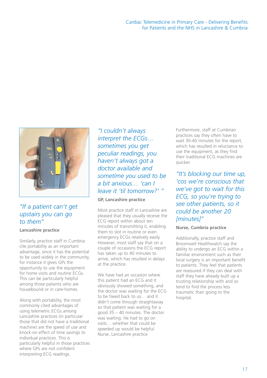

### *"If a patient can't get upstairs you can go to them"*

#### **Lancashire practice**

Similarly, practice staff in Cumbria cite portability as an important advantage, since it has the potential to be used widely in the community, for instance it gives GPs the opportunity to use the equipment for home visits and routine ECGs. This can be particularly helpful among those patients who are housebound or in care-homes.

Along with portability, the most commonly cited advantages of using telemetric ECGs among Lancashire practices (in particular those that did not have a traditional machine) are the speed of use and knock-on effect of time savings to individual practices. This is particularly helpful in those practices where GPs are not confident interpreting ECG readings.

*"I couldn't always interpret the ECGs… sometimes you get peculiar readings, you haven't always got a doctor available and sometime you used to be a bit anxious… 'can I leave it 'til tomorrow?' "*

#### **GP, Lancashire practice**

Most practice staff in Lancashire are pleased that they usually receive the ECG report within about ten minutes of transmitting it, enabling them to slot in routine or even emergency ECGs relatively easily. However, most staff say that on a couple of occasions the ECG report has taken up to 40 minutes to arrive, which has resulted in delays at the practice.

We have had an occasion where this patient had an ECG and it obviously showed something, and the doctor was waiting for the ECG to be faxed back to us… and it didn't come through straightaway so that patient was waiting for a good 35 – 40 minutes. The doctor was waiting. He had to go on visits… whether that could be speeded up would be helpful Nurse, Lancashire practice

Furthermore, staff at Cumbrian practices say they often have to wait 30-40 minutes for the report, which has resulted in reluctance to use the equipment, as they find their traditional ECG machines are quicker.

*"It's blocking our time up, 'cos we're conscious that we've got to wait for this ECG, so you're trying to see other patients, so it could be another 20 [minutes]"*

#### **Nurse, Cumbria practice**

Additionally, practice staff and Broomwell Healthwatch say the ability to undergo an ECG within a familiar environment such as their local surgery is an important benefit to patients. They feel that patients are reassured if they can deal with staff they have already built up a trusting relationship with and so tend to find the process less traumatic than going to the hospital.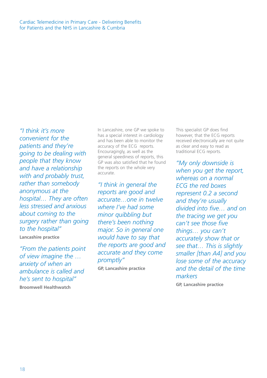*"I think it's more convenient for the patients and they're going to be dealing with people that they know and have a relationship with and probably trust, rather than somebody anonymous at the hospital… They are often less stressed and anxious about coming to the surgery rather than going to the hospital"*

**Lancashire practice**

*"From the patients point of view imagine the … anxiety of when an ambulance is called and he's sent to hospital"* **Broomwell Healthwatch** 

In Lancashire, one GP we spoke to has a special interest in cardiology and has been able to monitor the accuracy of the ECG reports. Encouragingly, as well as the general speediness of reports, this GP was also satisfied that he found the reports on the whole very accurate.

*"I think in general the reports are good and accurate…one in twelve where I've had some minor quibbling but there's been nothing major. So in general one would have to say that the reports are good and accurate and they come promptly"*

**GP, Lancashire practice**

This specialist GP does find however, that the ECG reports received electronically are not quite as clear and easy to read as traditional ECG reports.

*"My only downside is when you get the report, whereas on a normal ECG the red boxes represent 0.2 a second and they're usually divided into five… and on the tracing we get you can't see those five things… you can't accurately show that or see that… This is slightly smaller [than A4] and you lose some of the accuracy and the detail of the time markers*

**GP, Lancashire practice**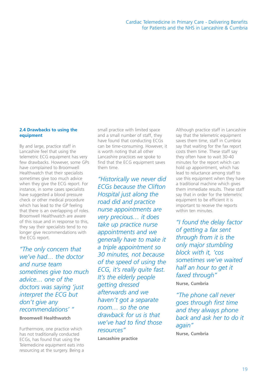#### **2.4 Drawbacks to using the equipment**

By and large, practice staff in Lancashire feel that using the telemetric ECG equipment has very few drawbacks. However, some GPs have complained to Broomwell Healthwatch that their specialists sometimes give too much advice when they give the ECG report. For instance, in some cases specialists have suggested a blood pressure check or other medical procedure which has lead to the GP feeling that there is an overlapping of roles. Broomwell Healthwatch are aware of this issue and in response to this, they say their specialists tend to no longer give recommendations with the ECG report.

*"The only concern that we've had… the doctor and nurse team sometimes give too much advice… one of the doctors was saying 'just interpret the ECG but don't give any recommendations' "*

#### **Broomwell Healthwatch**

Furthermore, one practice which has not traditionally conducted ECGs, has found that using the Telemedicine equipment eats into resourcing at the surgery. Being a small practice with limited space and a small number of staff, they have found that conducting ECGs can be time-consuming. However, it is worth noting that all other Lancashire practices we spoke to find that the ECG equipment saves them time.

*"Historically we never did ECGs because the Clifton Hospital just along the road did and practice nurse appointments are very precious… it does take up practice nurse appointments and we generally have to make it a triple appointment so 30 minutes, not because of the speed of using the ECG, it's really quite fast. It's the elderly people getting dressed afterwards and we haven't got a separate room… so the one drawback for us is that we've had to find those resources"* 

**Lancashire practice**

Although practice staff in Lancashire say that the telemetric equipment saves them time, staff in Cumbria say that waiting for the fax report costs them time. These staff say they often have to wait 30-40 minutes for the report which can hold up appointment, which has lead to reluctance among staff to use this equipment when they have a traditional machine which gives them immediate results. These staff say that in order for the telemetric equipment to be efficient it is important to receive the reports within ten minutes.

*"I found the delay factor of getting a fax sent through from it is the only major stumbling block with it, 'cos sometimes we've waited half an hour to get it faxed through"* **Nurse, Cumbria**

*"The phone call never goes through first time and they always phone back and ask her to do it again"*

**Nurse, Cumbria**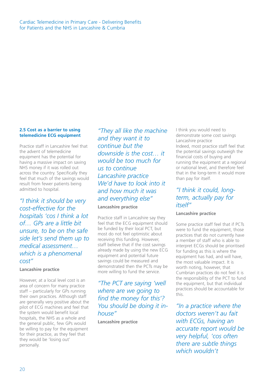#### **2.5 Cost as a barrier to using telemedicine ECG equipment**

Practice staff in Lancashire feel that the advent of telemedicine equipment has the potential for having a massive impact on saving NHS money if it was rolled out across the country. Specifically they feel that much of the savings would result from fewer patients being admitted to hospital.

*"I think it should be very cost-effective for the hospitals 'cos I think a lot of… GPs are a little bit unsure, to be on the safe side let's send them up to medical assessment… which is a phenomenal cost"*

#### **Lancashire practice**

However, at a local level cost is an area of concern for many practice staff – particularly for GPs running their own practices. Although staff are generally very positive about the pilot of ECG machines and feel that the system would benefit local hospitals, the NHS as a whole and the general public, few GPs would be willing to pay for the equipment for their practice, as they feel that they would be 'losing out' personally.

*"They all like the machine and they want it to continue but the downside is the cost… it would be too much for us to continue Lancashire practice We'd have to look into it and how much it was and everything else"*

#### **Lancashire practice**

Practice staff in Lancashire say they feel that the ECG equipment should be funded by their local PCT, but most do not feel optimistic about receiving this funding. However, staff believe that if the cost savings already made by using the new ECG equipment and potential future savings could be measured and demonstrated then the PCTs may be more willing to fund the service.

*"The PCT are saying 'well where are we going to find the money for this'? You should be doing it inhouse"*

**Lancashire practice**

I think you would need to demonstrate some cost savings Lancashire practice Indeed, most practice staff feel that the potential savings outweigh the financial costs of buying and running the equipment at a regional or national level, and therefore feel that in the long-term it would more than pay for itself.

### *"I think it could, longterm, actually pay for itself"*

#### **Lancashire practice**

Some practice staff feel that if PCTs were to fund the equipment, those practices that do not currently have a member of staff who is able to interpret ECGs should be prioritised for funding as this is where the equipment has had, and will have, the most valuable impact. It is worth noting, however, that Cumbrian practices do not feel it is the responsibility of the PCT to fund the equipment, but that individual practices should be accountable for this.

*"In a practice where the doctors weren't au fait with ECGs, having an accurate report would be very helpful, 'cos often there are subtle things which wouldn't*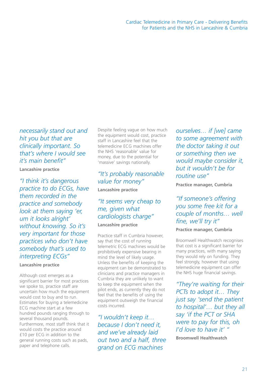*necessarily stand out and hit you but that are clinically important. So that's where I would see it's main benefit"*

#### **Lancashire practice**

*"I think it's dangerous practice to do ECGs, have them recorded in the practice and somebody look at them saying 'er, um it looks alright' without knowing. So it's very important for those practices who don't have somebody that's used to interpreting ECGs"*

#### **Lancashire practice**

Although cost emerges as a significant barrier for most practices we spoke to, practice staff are uncertain how much the equipment would cost to buy and to run. Estimates for buying a telemedicine ECG machine start at a few hundred pounds ranging through to several thousand pounds. Furthermore, most staff think that it would costs the practice around £10 per ECG in addition to the general running costs such as pads, paper and telephone calls.

Despite feeling vague on how much the equipment would cost, practice staff in Lancashire feel that the telemedicine ECG machines offer the NHS 'reasonable' value for money, due to the potential for 'massive' savings nationally.

## *"It's probably reasonable value for money"*

**Lancashire practice**

### *"It seems very cheap to me, given what cardiologists charge"*

#### **Lancashire practice**

Practice staff in Cumbria however, say that the cost of running telemetric ECG machines would be prohibitively expensive bearing in mind the level of likely usage. Unless the benefits of keeping the equipment can be demonstrated to clinicians and practice managers in Cumbria they are unlikely to want to keep the equipment when the pilot ends, as currently they do not feel that the benefits of using the equipment outweigh the financial costs incurred.

*"I wouldn't keep it… because I don't need it, and we've already laid out two and a half, three grand on ECG machines*

*ourselves… if [we] came to some agreement with the doctor taking it out or something then we would maybe consider it, but it wouldn't be for routine use"*

**Practice manager, Cumbria**

### *"If someone's offering you some free kit for a couple of months… well fine, we'll try it"*

#### **Practice manager, Cumbria**

Broomwell Healthwatch recognises that cost is a significant barrier for many practices, with many saying they would rely on funding. They feel strongly, however that using telemedicine equipment can offer the NHS huge financial savings.

*"They're waiting for their PCTs to adopt it… They just say 'send the patient to hospital'… but they all say 'if the PCT or SHA were to pay for this, oh I'd love to have it' "*

**Broomwell Healthwatch**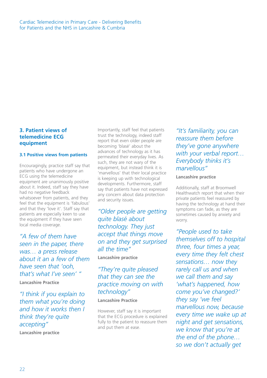#### **3. Patient views of telemedicine ECG equipment**

#### **3.1 Positive views from patients**

Encouragingly, practice staff say that patients who have undergone an ECG using the telemedicine equipment are unanimously positive about it. Indeed, staff say they have had no negative feedback whatsoever from patients, and they feel that the equipment is 'fabulous' and that they 'love it'. Staff say that patients are especially keen to use the equipment if they have seen local media coverage.

*"A few of them have seen in the paper, there was… a press release about it an a few of them have seen that 'ooh, that's what I've seen' "*

**Lancashire Practice**

*"I think if you explain to them what you're doing and how it works then I think they're quite accepting"* **Lancashire practice**

Importantly, staff feel that patients trust the technology, indeed staff report that even older people are becoming 'blasé' about the advances of technology as it has permeated their everyday lives. As such, they are not wary of the equipment, but instead think it is 'marvellous' that their local practice is keeping up with technological developments. Furthermore, staff say that patients have not expressed any concern about data protection and security issues.

*"Older people are getting quite blasé about technology. They just accept that things move on and they get surprised all the time"*

**Lancashire practice**

## *"They're quite pleased that they can see the practice moving on with technology"*

**Lancashire Practice**

However, staff say it is important that the ECG procedure is explained fully to the patient to reassure them and put them at ease.

*"It's familiarity, you can reassure them before they've gone anywhere with your verbal report… Everybody thinks it's marvellous"*

#### **Lancashire practice**

Additionally, staff at Broomwell Healthwatch report that when their private patients feel reassured by having the technology at hand their symptoms can fade, as they are sometimes caused by anxiety and worry.

*"People used to take themselves off to hospital three, four times a year, every time they felt chest sensations… now they rarely call us and when we call them and say 'what's happened, how come you've changed?' they say 'we feel marvellous now, because every time we wake up at night and get sensations, we know that you're at the end of the phone… so we don't actually get*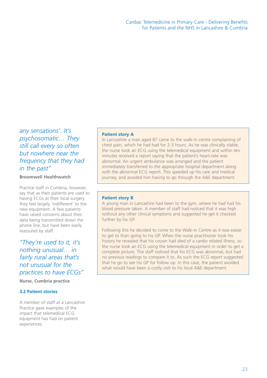*any sensations'. It's psychosomatic… They still call every so often but nowhere near the frequency that they had in the past"*

**Broomwell Healthwatch**

Practice staff in Cumbria, however, say that as their patients are used to having ECGs at their local surgery they feel largely 'indifferent' to the new equipment. A few patients have raised concerns about their data being transmitted down the phone line, but have been easily reassured by staff.

*"They're used to it, it's nothing unusual… in fairly rural areas that's not unusual for the practices to have ECGs"*

**Nurse, Cumbria practice**

#### **3.2 Patient stories**

A member of staff at a Lancashire Practice gave examples of the impact that telemedical ECG equipment has had on patient experiences.

#### **Patient story A**

In Lancashire a man aged 87 came to the walk-in centre complaining of chest pain, which he had had for 2-3 hours. As he was clinically stable, the nurse took an ECG using the telemedical equipment and within ten minutes received a report saying that the patient's heart-rate was abnormal. An urgent ambulance was arranged and the patient immediately transferred to the appropriate hospital department along with the abnormal ECG report. This speeded up his care and medical journey, and avoided him having to go through the A&E department.

#### **Patient story B**

A young man in Lancashire had been to the gym, where he had had his blood pressure taken. A member of staff had noticed that it was high without any other clinical symptoms and suggested he get it checked further by his GP.

Following this he decided to come to the Walk-in Centre as it was easier to get to than going to his GP. When the nurse practitioner took his history he revealed that his cousin had died of a cardio related illness, so the nurse took an ECG using the telemedical equipment in order to get a complete picture. The staff noticed that his ECG was abnormal, but had no previous readings to compare it to. As such the ECG report suggested that he go to see his GP for follow up. In this case, the patient avoided what would have been a costly visit to his local A&E department.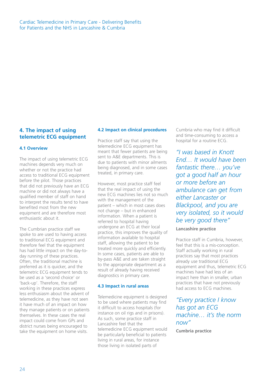#### **4. The impact of using telemetric ECG equipment**

#### **4.1 Overview**

The impact of using telemetric ECG machines depends very much on whether or not the practice had access to traditional ECG equipment before the pilot. Those practices that did not previously have an ECG machine or did not always have a qualified member of staff on hand to interpret the results tend to have benefited most from the new equipment and are therefore most enthusiastic about it.

The Cumbrian practice staff we spoke to are used to having access to traditional ECG equipment and therefore feel that the equipment has had little impact on the day-today running of these practices. Often, the traditional machine is preferred as it is quicker, and the telemetric ECG equipment tends to be used as a 'second choice' or 'back-up'. Therefore, the staff working in these practices express less enthusiasm about the advent of telemedicine, as they have not seen it have much of an impact on how they manage patients or on patients themselves. In these cases the real impact could come from GPs and district nurses being encouraged to take the equipment on home visits.

#### **4.2 Impact on clinical procedures**

Practice staff say that using the telemedicine ECG equipment has meant that fewer patients are being sent to A&E departments. This is due to patients with minor ailments being diagnosed, and in some cases treated, in primary care.

However, most practice staff feel that the real impact of using the new ECG machines lies not so much with the management of the patient – which in most cases does not change – but in enhanced information. When a patient is referred to hospital having undergone an ECG at their local practice, this improves the quality of information available to hospital staff, allowing the patient to be treated more quickly and efficiently. In some cases, patients are able to by-pass A&E and are taken straight to the appropriate department as a result of already having received diagnostics in primary care.

#### **4.3 Impact in rural areas**

Telemedicine equipment is designed to be used where patients may find it difficult to access hospitals (for instance on oil rigs and in prisons). As such, some practice staff in Lancashire feel that the telemedicine ECG equipment would be particularly beneficial to patients living in rural areas, for instance those living in isolated parts of

Cumbria who may find it difficult and time-consuming to access a hospital for a routine ECG.

*"I was based in Knott End… It would have been fantastic there… you've got a good half an hour or more before an ambulance can get from either Lancaster or Blackpool, and you are very isolated, so it would be very good there"*

#### **Lancashire practice**

Practice staff in Cumbria, however, feel that this is a mis-conception. Staff actually working in rural practices say that most practices already use traditional ECG equipment and thus, telemetric ECG machines have had less of an impact here than in smaller, urban practices that have not previously had access to ECG machines.

### *"Every practice I know has got an ECG machine… it's the norm now"*

**Cumbria practice**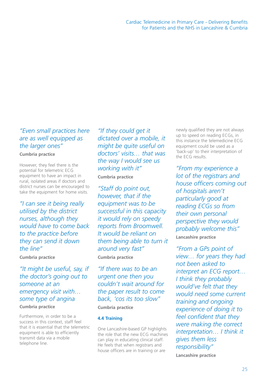### *"Even small practices here are as well equipped as the larger ones"*

#### **Cumbria practice**

However, they feel there is the potential for telemetric ECG equipment to have an impact in rural, isolated areas if doctors and district nurses can be encouraged to take the equipment for home visits.

*"I can see it being really utilised by the district nurses, although they would have to come back to the practice before they can send it down the line"* **Cumbria practice**

*"It might be useful, say, if the doctor's going out to someone at an emergency visit with… some type of angina* **Cumbria practice** 

Furthermore, in order to be a success in this context, staff feel that it is essential that the telemetric equipment is able to efficiently transmit data via a mobile telephone line.

*"If they could get it dictated over a mobile, it might be quite useful on doctors' visits… that was the way I would see us working with it"* **Cumbria practice**

*"Staff do point out, however, that if the equipment was to be successful in this capacity it would rely on speedy reports from Broomwell. It would be reliant on them being able to turn it around very fast"* **Cumbria practice**

*"If there was to be an urgent one then you couldn't wait around for the paper result to come back, 'cos its too slow"*

### **Cumbria practice**

#### **4.4 Training**

One Lancashire-based GP highlights the role that the new ECG machines can play in educating clinical staff. He feels that when registrars and house officers are in training or are

newly qualified they are not always up to speed on reading ECGs, in this instance the telemedicine ECG equipment could be used as a 'back-up' to their interpretation of the ECG results.

*"From my experience a lot of the registrars and house officers coming out of hospitals aren't particularly good at reading ECGs so from their own personal perspective they would probably welcome this"* **Lancashire practice**

*"From a GPs point of view… for years they had not been asked to interpret an ECG report… I think they probably would've felt that they would need some current training and ongoing experience of doing it to feel confident that they were making the correct interpretation… I think it gives them less responsibility"*

**Lancashire practice**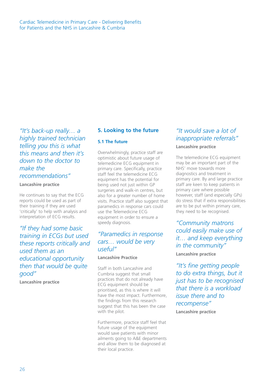Cardiac Telemedicine in Primary Care - Delivering Benefits for Patients and the NHS in Lancashire & Cumbria

*"It's back-up really… a highly trained technician telling you this is what this means and then it's down to the doctor to make the recommendations"*

#### **Lancashire practice**

He continues to say that the ECG reports could be used as part of their training if they are used 'critically' to help with analysis and interpretation of ECG results.

*"If they had some basic training in ECGs but used these reports critically and used them as an educational opportunity then that would be quite good"*

**Lancashire practice**

#### **5. Looking to the future**

#### **5.1 The future**

Overwhelmingly, practice staff are optimistic about future usage of telemedicine ECG equipment in primary care. Specifically, practice staff feel the telemedicine ECG equipment has the potential for being used not just within GP surgeries and walk-in centres, but also for a greater number of home visits. Practice staff also suggest that paramedics in response cars could use the Telemedicine ECG equipment in order to ensure a speedy diagnosis.

### *"Paramedics in response cars… would be very useful"*

#### **Lancashire Practice**

Staff in both Lancashire and Cumbria suggest that small practices that do not already have ECG equipment should be prioritised, as this is where it will have the most impact. Furthermore, the findings from this research suggest that this has been the case with the pilot.

Furthermore, practice staff feel that future usage of the equipment would save patients with minor ailments going to A&E departments and allow them to be diagnosed at their local practice.

### *"It would save a lot of inappropriate referrals"*

#### **Lancashire practice**

The telemedicine ECG equipment may be an important part of the NHS' move towards more diagnostics and treatment in primary care. By and large practice staff are keen to keep patients in primary care where possible however, staff (and especially GPs) do stress that if extra responsibilities are to be put within primary care, they need to be recognised.

*"Community matrons could easily make use of it… and keep everything in the community"* **Lancashire practice**

*"It's fine getting people to do extra things, but it just has to be recognised that there is a workload issue there and to recompense"*

**Lancashire practice**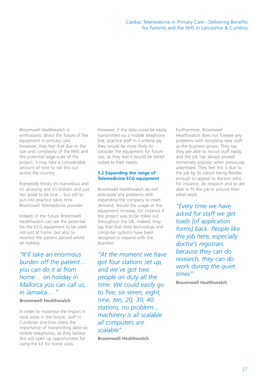Broomwell Healthwatch is enthusiastic about the future of the equipment in primary care. However, they feel that due to the size and complexity of the NHS and the potential large-scale of the project, it may take a considerable amount of time to roll this out across the country.

Everybody thinks it's marvellous and it's amazing and it's brilliant and just too good to be true… but still to put into practice takes time Broomwell Telemedicine provider

Indeed, in the future Broomwell Healthwatch can see the potential for the ECG equipment to be used not just at home, but also to monitor the patient abroad whilst on holiday.

*"It'll take an enormous burden off the patient… you can do it al from home… on holiday in Mallorca you can call us, in Jamaica… "*

#### **Broomwell Healthwatch**

In order to maximise the impact in rural areas in the future, staff in Cumbrian practices stress the importance of transmitting data via mobile telephones, as they believe this will open up opportunities for using the kit for home visits.

However, if the data could be easily transmitted via a mobile telephone line, practice staff in Cumbria say they would be more likely to consider the equipment for future use, as they feel it would be better suited to their needs.

#### **5.2 Expanding the range of Telemedicine ECG equipment**

Broomwell Healthwatch do not anticipate any problems with expanding the company to meet demand, should the usage of the equipment increase, for instance if the project was to be rolled out throughout the UK. Indeed, they say that that their technology and computer systems have been designed to expand with the business.

*"At the moment we have got four stations set up, and we've got two people on duty all the time. We could easily go to five, six seven, eight, nine, ten, 20, 30, 40 stations, no problem… machinery is all scalable all computers are scalable"*

**Broomwell Healthwatch**

Furthermore, Broomwell Healthwatch does not foresee any problems with recruiting new staff as the business grows. They say they are able to recruit staff easily, and the job has always proved immensely popular when previously advertised. They feel this is due to the job by its nature being flexible enough to appeal to doctors who, for instance, do research and so are able to fit the job in around their other work.

*"Every time we have asked for staff we get loads [of application forms] back. People like the job here, especially doctor's registrars because they can do research, they can do work during the quiet times"*

**Broomwell Healthwatch**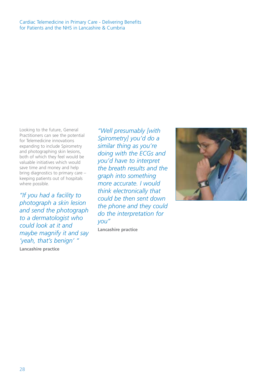Cardiac Telemedicine in Primary Care - Delivering Benefits for Patients and the NHS in Lancashire & Cumbria

Looking to the future, General Practitioners can see the potential for Telemedicine innovations expanding to include Spirometry and photographing skin lesions, both of which they feel would be valuable initiatives which would save time and money and help bring diagnostics to primary care – keeping patients out of hospitals where possible.

*"If you had a facility to photograph a skin lesion and send the photograph to a dermatologist who could look at it and maybe magnify it and say 'yeah, that's benign' "*

**Lancashire practice**

*"Well presumably [with Spirometry] you'd do a similar thing as you're doing with the ECGs and you'd have to interpret the breath results and the graph into something more accurate. I would think electronically that could be then sent down the phone and they could do the interpretation for you"*

**Lancashire practice**

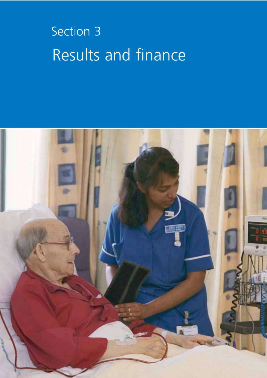# Section 3 Results and finance

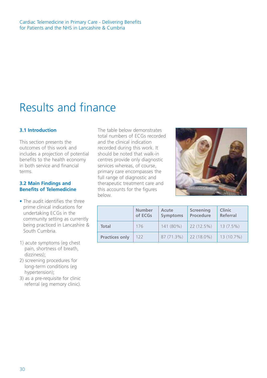# Results and finance

#### **3.1 Introduction**

This section presents the outcomes of this work and includes a projection of potential benefits to the health economy in both service and financial terms.

#### **3.2 Main Findings and Benefits of Telemedicine**

- The audit identifies the three prime clinical indications for undertaking ECGs in the community setting as currently being practiced in Lancashire & South Cumbria.
- 1) acute symptoms (eg chest pain, shortness of breath, dizziness);
- 2) screening procedures for long-term conditions (eg hypertension);
- 3) as a pre-requisite for clinic referral (eg memory clinic).

The table below demonstrates total numbers of ECGs recorded and the clinical indication recorded during this work. It should be noted that walk-in centres provide only diagnostic services whereas, of course, primary care encompasses the full range of diagnostic and therapeutic treatment care and this accounts for the figures below.



|                       | <b>Number</b><br>of ECGs | <b>Acute</b><br><b>Symptoms</b> | <b>Screening</b><br>Procedure | <b>Clinic</b><br><b>Referral</b> |
|-----------------------|--------------------------|---------------------------------|-------------------------------|----------------------------------|
| Total                 | 176                      | 141 (80%)                       | 22 (12.5%)                    | $13(7.5\%)$                      |
| <b>Practices only</b> | 122                      | 87 (71.3%)                      | 22 (18.0%)                    | 13 (10.7%)                       |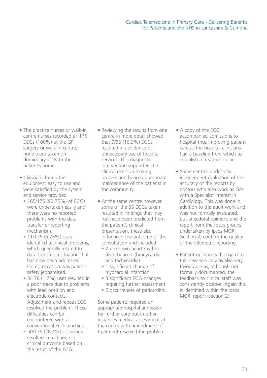- The practice nurses or walk-in centre nurses recorded all 176 ECGs (100%) at the GP surgery or walk-in centre; none were taken on domiciliary visits to the patient's home.
- Clinicians found the equipment easy to use and were satisfied by the system and service provided
	- 165/176 (93.75%) of ECGs were undertaken easily and there were no reported problems with the data transfer or reporting mechanism.
	- 11/176 (6.25%) uses identified technical problems, which generally related to data transfer, a situation that has now been addressed. On no occasion was patient safety jeopardised.
	- 3/176 (1.7%) uses resulted in a poor trace due to problems with lead position and electrode contacts. Adjustment and repeat ECG resolved the problem. These difficulties can be encountered with a conventional ECG machine.
	- 50/176 (28.4%) occasions resulted in a change in clinical outcome based on the result of the ECG.
- Reviewing the results from one centre in more detail showed that 9/55 (16.3%) ECGs resulted in avoidance of unnecessary use of hospital services. This diagnostic intervention supported the clinical decision-making process and hence appropriate maintenance of the patients in the community.
- At the same centre however some of the 55 ECGs taken resulted in findings that may not have been predicted from the patient's clinical presentation, these also influenced the outcome of the consultation and included:
	- 2 unknown heart rhythm disturbances (bradycardia and tachycardia)
	- 1 significant change of myocardial infarction
	- 3 significant ECG changes requiring further assessment
	- 5 occurrences of pericarditis.

Some patients required an appropriate hospital admission for further care but in other instances medical assessment at the centre with amendment of treatment resolved the problem.

- A copy of the ECG accompanied admissions to hospital thus improving patient care as the hospital clinicians had a baseline from which to establish a treatment plan.
- Some centres undertook independent evaluation of the accuracy of the reports by doctors who also work as GPs with a Specialist Interest in Cardiology. This was done in addition to the audit work and was not formally evaluated, but anecdotal opinions and the report from the focus groups undertaken by Ipsos MORI (section 2) confirm the quality of the telemetric reporting.
- Patient opinion with regard to this new service was also very favourable as, although not formally documented, the feedback to clinical staff was consistently positive. Again this is identified within the Ipsos MORI report (section 2).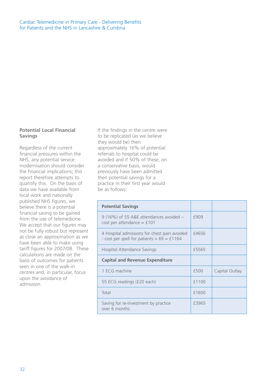#### **Potential Local Financial Savings**

Regardless of the current financial pressures within the NHS, any potential service modernisation should consider the financial implications; this report therefore attempts to quantify this. On the basis of data we have available from local work and nationally published NHS figures, we believe there is a potential financial saving to be gained from the use of telemedicine. We accept that our figures may not be fully robust but represent as close an approximation as we have been able to make using tariff figures for 2007/08. These calculations are made on the basis of outcomes for patients seen in one of the walk-in centres and, in particular, focus upon the avoidance of admission.

If the findings in the centre were to be replicated (as we believe they would be) then approximately 16% of potential referrals to hospital could be avoided and if 50% of these, on a conservative basis, would previously have been admitted then potential savings for a practice in their first year would be as follows:

| <b>Potential Savings</b>                                                                     |       |                |
|----------------------------------------------------------------------------------------------|-------|----------------|
| 9 (16%) of 55 A&E attendances avoided -<br>$cost$ per attendance = £101                      | £909  |                |
| 4 Hospital admissions for chest pain avoided<br>- cost per spell for patients $> 69 = £1164$ | £4656 |                |
| Hospital Attendance Savings                                                                  | £5565 |                |
| <b>Capital and Revenue Expenditure</b>                                                       |       |                |
| 1 ECG machine                                                                                | £500  | Capital Outlay |
| 55 ECG readings (£20 each)                                                                   | £1100 |                |
| Total                                                                                        | £1600 |                |
| Saving for re-investment by practice<br>over 6 months                                        | £3965 |                |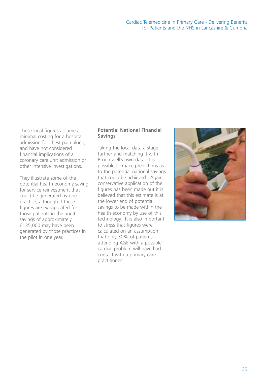#### Cardiac Telemedicine in Primary Care - Delivering Benefits for Patients and the NHS in Lancashire & Cumbria

These local figures assume a minimal costing for a hospital admission for chest pain alone, and have not considered financial implications of a coronary care unit admission or other intensive investigations.

They illustrate some of the potential health economy saving for service reinvestment that could be generated by one practice, although if these figures are extrapolated for those patients in the audit, savings of approximately £135,000 may have been generated by those practices in the pilot in one year.

#### **Potential National Financial Savings**

Taking the local data a stage further and matching it with Broomwell's own data, it is possible to make predictions as to the potential national savings that could be achieved. Again, conservative application of the figures has been made but it is believed that this estimate is at the lower end of potential savings to be made within the health economy by use of this technology. It is also important to stress that figures were calculated on an assumption that only 30% of patients attending A&E with a possible cardiac problem will have had contact with a primary care practitioner.

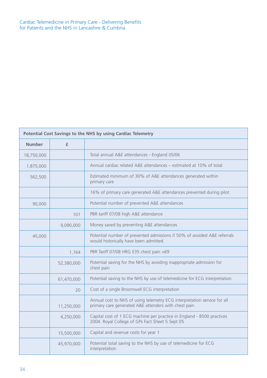| Potential Cost Savings to the NHS by using Cardiac Telemetry |              |                                                                                                                                  |  |
|--------------------------------------------------------------|--------------|----------------------------------------------------------------------------------------------------------------------------------|--|
| <b>Number</b>                                                | $\mathbf{f}$ |                                                                                                                                  |  |
| 18,750,000                                                   |              | Total annual A&E attendances - England 05/06                                                                                     |  |
| 1,875,000                                                    |              | Annual cardiac related A&E attendances – estimated at 10% of total                                                               |  |
| 562,500                                                      |              | Estimated minimum of 30% of A&E attendances generated within<br>primary care                                                     |  |
|                                                              |              | 16% of primary care generated A&E attendances prevented during pilot                                                             |  |
| 90,000                                                       |              | Potential number of prevented A&E attendances                                                                                    |  |
|                                                              | 101          | PBR tariff 07/08 high A&E attendance                                                                                             |  |
|                                                              | 9,090,000    | Money saved by preventing A&E attendances                                                                                        |  |
| 45,000                                                       |              | Potential number of prevented admissions if 50% of avoided A&E referrals<br>would historically have been admitted.               |  |
|                                                              | 1,164        | PBR Tariff 07/08 HRG E35 chest pain >69                                                                                          |  |
|                                                              | 52,380,000   | Potential saving for the NHS by avoiding inappropriate admission for<br>chest pain                                               |  |
|                                                              | 61,470,000   | Potential saving to the NHS by use of telemedicine for ECG interpretation                                                        |  |
|                                                              | 20           | Cost of a single Broomwell ECG interpretation                                                                                    |  |
|                                                              | 11,250,000   | Annual cost to NHS of using telemetry ECG interpretation service for all<br>primary care generated A&E attenders with chest pain |  |
|                                                              | 4,250,000    | Capital cost of 1 ECG machine per practice in England - 8500 practices<br>2004. Royal College of GPs Fact Sheet 5 Sept 05        |  |
|                                                              | 15,500,000   | Capital and revenue costs for year 1                                                                                             |  |
|                                                              | 45,970,000   | Potential total saving to the NHS by use of telemedicine for ECG<br>interpretation                                               |  |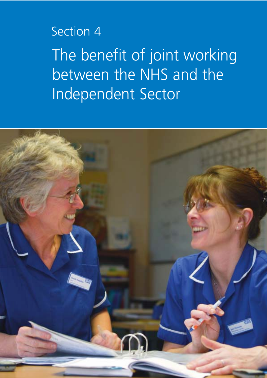# Section 4

The benefit of joint working between the NHS and the Independent Sector

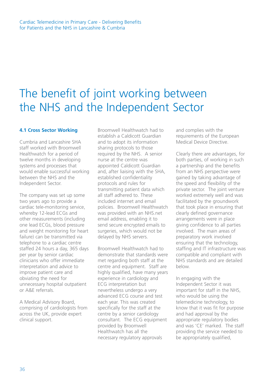# The benefit of joint working between the NHS and the Independent Sector

#### **4.1 Cross Sector Working**

Cumbria and Lancashire SHA staff worked with Broomwell Healthwatch for a period of twelve months in developing systems and processes that would enable successful working between the NHS and the Independent Sector.

The company was set up some two years ago to provide a cardiac tele-monitoring service, whereby 12-lead ECGs and other measurements (including one lead ECGs, blood pressure and weight monitoring for heart failure) can be transmitted via telephone to a cardiac centre staffed 24 hours a day, 365 days per year by senior cardiac clinicians who offer immediate interpretation and advice to improve patient care and obviating the need for unnecessary hospital outpatient or A&E referrals.

A Medical Advisory Board, comprising of cardiologists from across the UK, provide expert clinical support.

Broomwell Healthwatch had to establish a Caldicott Guardian and to adopt its information sharing protocols to those required by the NHS. A senior nurse at the centre was appointed Caldicott Guardian and, after liaising with the SHA, established confidentiality protocols and rules for transmitting patient data which all staff adhered to. These included internet and email policies. Broomwell Healthwatch was provided with an NHS.net email address, enabling it to send secure encrypted emails to surgeries, which would not be delayed by NHS servers.

Broomwell Healthwatch had to demonstrate that standards were met regarding both staff at the centre and equipment. Staff are highly qualified, have many years experience in cardiology and ECG interpretation but nevertheless undergo a very advanced ECG course and test each year. This was created specifically for the staff at the centre by a senior cardiology consultant. The ECG equipment provided by Broomwell Healthwatch has all the necessary regulatory approvals

and complies with the requirements of the European Medical Device Directive.

Clearly there are advantages, for both parties, of working in such a partnership and the benefits from an NHS perspective were gained by taking advantage of the speed and flexibility of the private sector. The joint venture worked extremely well and was facilitated by the groundwork that took place in ensuring that clearly defined governance arrangements were in place giving confidence to all parties involved. The main areas of preparatory work involved ensuring that the technology, staffing and IT infrastructure was compatible and compliant with NHS standards and are detailed below.

In engaging with the Independent Sector it was important for staff in the NHS, who would be using the telemedicine technology, to know that it was fit for purpose and had approval by the appropriate regulatory bodies and was 'CE' marked. The staff providing the service needed to be appropriately qualified,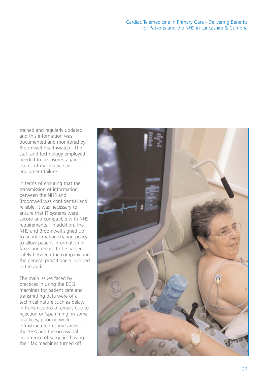trained and regularly updated and this information was documented and monitored by Broomwell Healthwatch. The staff and technology employed needed to be insured against claims of malpractice or equipment failure.

In terms of ensuring that the transmission of information between the NHS and Broomwell was confidential and reliable, it was necessary to ensure that IT systems were secure and compatible with NHS requirements. In addition, the NHS and Broomwell signed up to an information sharing policy to allow patient information in faxes and emails to be passed safely between the company and the general practitioners involved in the audit.

The main issues faced by practices in using the ECG machines for patient care and transmitting data were of a technical nature such as delays in transmissions of emails due to rejection or 'spamming' in some practices, poor network infrastructure in some areas of the SHA and the occasional occurrence of surgeries having their fax machines turned off.

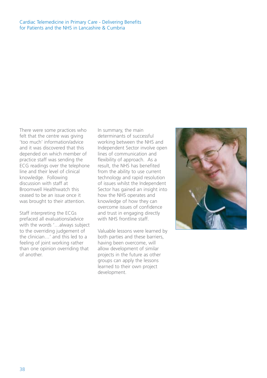#### Cardiac Telemedicine in Primary Care - Delivering Benefits for Patients and the NHS in Lancashire & Cumbria

There were some practices who felt that the centre was giving 'too much' information/advice and it was discovered that this depended on which member of practice staff was sending the ECG readings over the telephone line and their level of clinical knowledge. Following discussion with staff at Broomwell Healthwatch this ceased to be an issue once it was brought to their attention.

Staff interpreting the ECGs prefaced all evaluations/advice with the words '…always subject to the overriding judgement of the clinician…' and this led to a feeling of joint working rather than one opinion overriding that of another.

In summary, the main determinants of successful working between the NHS and Independent Sector involve open lines of communication and flexibility of approach. As a result, the NHS has benefited from the ability to use current technology and rapid resolution of issues whilst the Independent Sector has gained an insight into how the NHS operates and knowledge of how they can overcome issues of confidence and trust in engaging directly with NHS frontline staff.

Valuable lessons were learned by both parties and these barriers, having been overcome, will allow development of similar projects in the future as other groups can apply the lessons learned to their own project development.

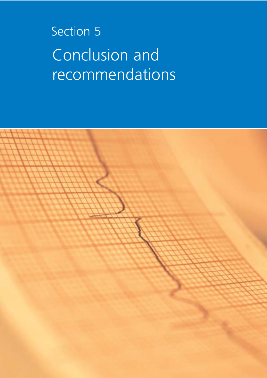# Section 5 Conclusion and recommendations

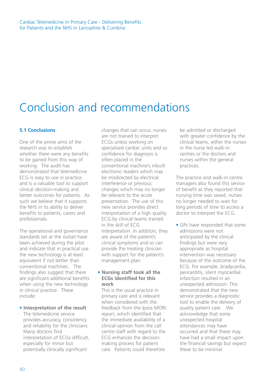# Conclusion and recommendations

#### **5.1 Conclusions**

One of the prime aims of the research was to establish whether there were any benefits to be gained from this way of working. The audit has demonstrated that telemedicine ECG is easy to use in practice and is a valuable tool to support clinical decision-making and better outcomes for patients. As such we believe that it supports the NHS in its ability to deliver benefits to patients, carers and professionals.

The operational and governance standards set at the outset have been achieved during the pilot and indicate that in practical use the new technology is at least equivalent if not better than conventional machines. The findings also suggest that there are significant additional benefits when using the new technology in clinical practice. These include:

#### • **Interpretation of the result**

The telemedicine service provides accuracy, consistency and reliability for the clinicians. Many doctors find interpretation of ECGs difficult, especially for minor but potentially clinically significant

changes that can occur, nurses are not trained to interpret ECGs unless working on specialised cardiac units and so confidence for diagnosis is often placed in the conventional machine's inbuilt electronic readers which may be misdirected by electrical interference or previous changes which may no longer be relevant to the acute presentation. The use of this new service provides direct interpretation of a high quality ECG by clinical teams trained in the skill of ECG interpretation. In addition, they are aware of the patient's clinical symptoms and so can provide the treating clinician with support for the patient's management plan.

#### • **Nursing staff took all the ECGs identified for this work**

This is the usual practice in primary care and is relevant when considered with the feedback from the Ipsos MORI report, which identified that the immediate availability of a clinical opinion from the call centre staff with regard to the ECG enhances the decisionmaking process for patient care. Patients could therefore

be admitted or discharged with greater confidence by the clinical teams, either the nurses in the nurse led walk-in centres or the doctors and nurses within the general practices.

The practice and walk-in centre managers also found this service of benefit as they reported that nursing time was saved, nurses no longer needed to wait for long periods of time to access a doctor to interpret the ECG.

• GPs have responded that some admissions were not anticipated by the clinical findings but were very appropriate as hospital intervention was necessary because of the outcome of the ECG. For example, bradycardia, pericarditis, silent myocardial infarction resulted in an unexpected admission. This demonstrated that the new service provides a diagnostic tool to enable the delivery of quality patient care. We acknowledge that some unexpected hospital attendances may have occurred and that these may have had a small impact upon the financial savings but expect these to be minimal.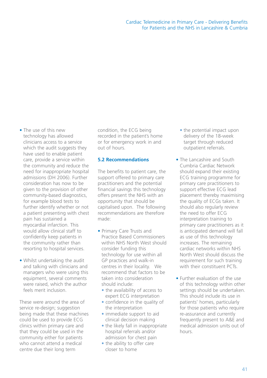- The use of this new technology has allowed clinicians access to a service which the audit suggests they have used to enable patient care, provide a service within the community and reduce the need for inappropriate hospital admissions (DH 2006). Further consideration has now to be given to the provision of other community-based diagnostics, for example blood tests to further identify whether or not a patient presenting with chest pain has sustained a myocardial infarction. This would allow clinical staff to confidently keep patients in the community rather than resorting to hospital services.
- Whilst undertaking the audit and talking with clinicians and managers who were using this equipment, several comments were raised, which the author feels merit inclusion.

These were around the area of service re-design; suggestion being made that these machines could be used to provide ECG clinics within primary care and that they could be used in the community either for patients who cannot attend a medical centre due their long term

condition, the ECG being recorded in the patient's home or for emergency work in and out of hours.

#### **5.2 Recommendations**

The benefits to patient care, the support offered to primary care practitioners and the potential financial savings this technology offers present the NHS with an opportunity that should be capitalised upon. The following recommendations are therefore made:

- Primary Care Trusts and Practice Based Commissioners within NHS North West should consider funding this technology for use within all GP practices and walk-in centres in their locality. We recommend that factors to be taken into consideration should include:
	- the availability of access to expert ECG interpretation
	- confidence in the quality of the interpretation
	- immediate support to aid clinical decision making
	- the likely fall in inappropriate hospital referrals and/or admission for chest pain
	- the ability to offer care closer to home
- the potential impact upon delivery of the 18-week target through reduced outpatient referrals.
- The Lancashire and South Cumbria Cardiac Network should expand their existing ECG training programme for primary care practitioners to support effective ECG lead placement thereby maximising the quality of ECGs taken. It should also regularly review the need to offer ECG interpretation training to primary care practitioners as it is anticipated demand will fall as use of this technology increases. The remaining cardiac networks within NHS North West should discuss the requirement for such training with their constituent PCTs.
- Further evaluation of the use of this technology within other settings should be undertaken. This should include its use in patients' homes, particularly for those patients who require re-assurance and currently frequently present to A&E and medical admission units out of hours.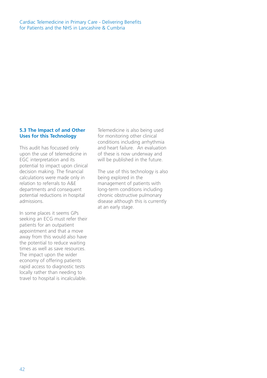#### Cardiac Telemedicine in Primary Care - Delivering Benefits for Patients and the NHS in Lancashire & Cumbria

#### **5.3 The Impact of and Other Uses for this Technology**

This audit has focussed only upon the use of telemedicine in EGC interpretation and its potential to impact upon clinical decision making. The financial calculations were made only in relation to referrals to A&E departments and consequent potential reductions in hospital admissions.

In some places it seems GPs seeking an ECG must refer their patients for an outpatient appointment and that a move away from this would also have the potential to reduce waiting times as well as save resources. The impact upon the wider economy of offering patients rapid access to diagnostic tests locally rather than needing to travel to hospital is incalculable.

Telemedicine is also being used for monitoring other clinical conditions including arrhythmia and heart failure. An evaluation of these is now underway and will be published in the future.

The use of this technology is also being explored in the management of patients with long-term conditions including chronic obstructive pulmonary disease although this is currently at an early stage.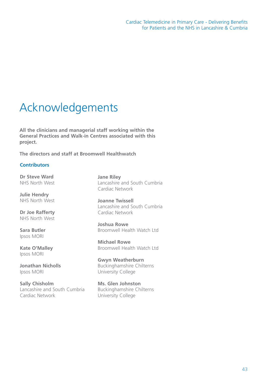# Acknowledgements

**All the clinicians and managerial staff working within the General Practices and Walk-in Centres associated with this project.**

**The directors and staff at Broomwell Healthwatch**

#### **Contributors**

**Dr Steve Ward** NHS North West

**Julie Hendry** NHS North West

**Dr Joe Rafferty** NHS North West

**Sara Butler** Ipsos MORI

**Kate O'Malley** Ipsos MORI

**Jonathan Nicholls** Ipsos MORI

**Sally Chisholm** Lancashire and South Cumbria Cardiac Network

**Jane Riley** Lancashire and South Cumbria Cardiac Network

**Joanne Twissell** Lancashire and South Cumbria Cardiac Network

**Joshua Rowe** Broomwell Health Watch Ltd

**Michael Rowe** Broomwell Health Watch Ltd

**Gwyn Weatherburn** Buckinghamshire Chilterns University College

**Ms. Glen Johnston** Buckinghamshire Chilterns University College